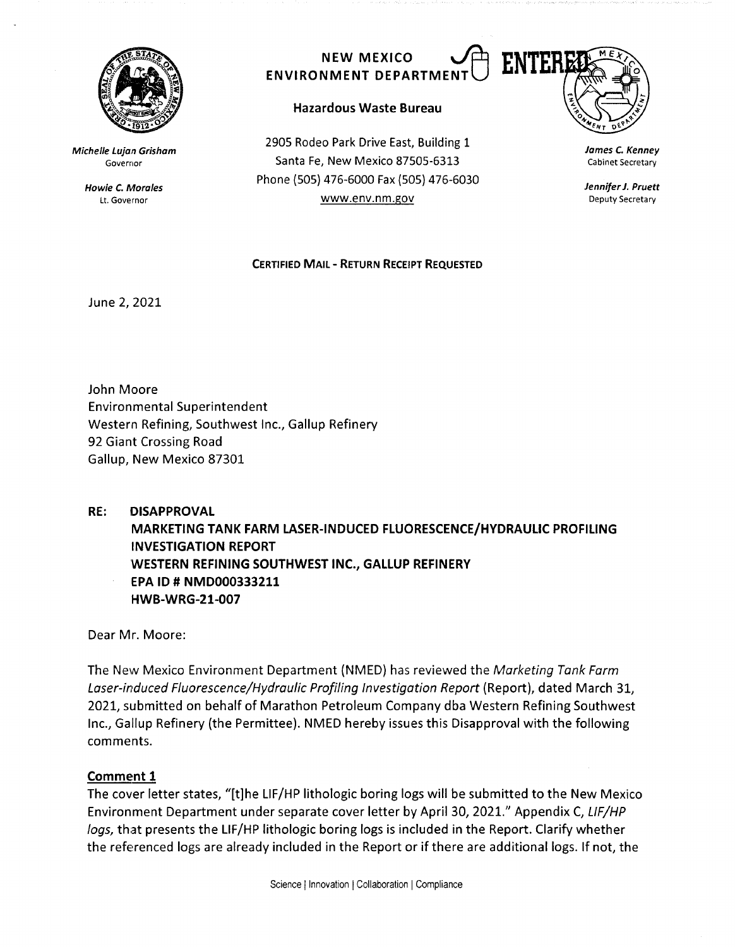

**Michelle Lujan Grisham**  Governor

> **Howie C. Morales**  Lt. Governor



## **Hazardous Waste Bureau**

2905 Rodeo Park Drive East, Building 1 Santa Fe, New Mexico 87505-6313 Phone (SOS} 476-6000 Fax (505) 476-6030 www.env.nm.gov

**James** *C.* **Kenney**  Cabinet Secretary

**Jennifer J. Pruett**  Deputy Secretary

# **CERTIFIED MAIL** - **RETURN RECEIPT REQUESTED**

June 2, 2021

John Moore Environmental Superintendent Western Refining, Southwest Inc., Gallup Refinery 92 Giant Crossing Road Gallup, New Mexico 87301

**RE: DISAPPROVAL MARKETING TANK FARM LASER-INDUCED FLUORESCENCE/HYDRAULIC PROFILING INVESTIGATION REPORT WESTERN REFINING SOUTHWEST INC., GALLUP REFINERY EPA ID# NMD000333211 HWB-WRG-21-007** 

Dear Mr. Moore:

The New Mexico Environment Department (NMED) has reviewed the Marketing Tank Farm Laser-induced Fluorescence/Hydraulic Profiling Investigation Report (Report), dated March 31, 2021, submitted on behalf of Marathon Petroleum Company dba Western Refining Southwest Inc., Gallup Refinery (the Permittee). NMED hereby issues this Disapproval with the following comments.

# **Comment 1**

The cover letter states, "[t]he LIF/HP lithologic boring logs will be submitted to the New Mexico Environment Department under separate cover letter by April 30, 2021." Appendix C, LIF/HP logs, that presents the LIF/HP lithologic boring logs is included in the Report. Clarify whether the referenced logs are already included in the Report or if there are additional logs. If not, the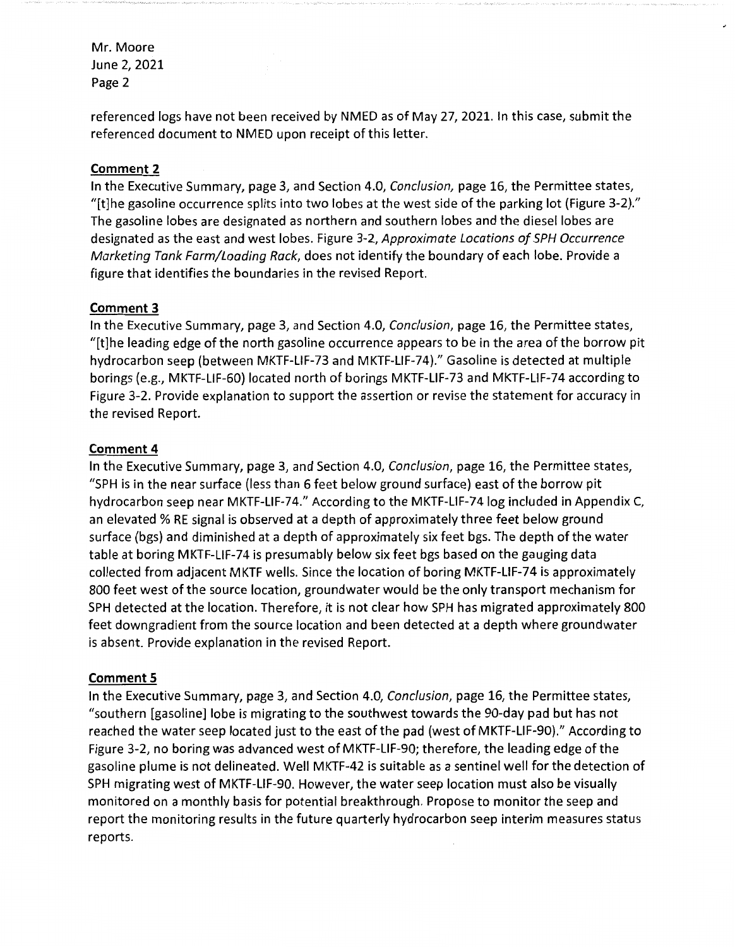referenced logs have not been received by NMED as of May 27, 2021. In this case, submit the referenced document to NMED upon receipt of this letter.

## **Comment 2**

In the Executive Summary, page 3, and Section 4.0, Conclusion, page 16, the Permittee states, "[t]he gasoline occurrence splits into two lobes at the west side of the parking lot (Figure 3-2)." The gasoline lobes are designated as northern and southern lobes and the diesel lobes are designated as the east and west lobes. Figure 3-2, Approximate Locations of SPH Occurrence Marketing Tank Farm/Loading Rack, does not identify the boundary of each lobe. Provide a figure that identifies the boundaries in the revised Report.

#### **Comment 3**

In the Executive Summary, page 3, and Section 4.0, Conclusion, page 16, the Permittee states, "[t]he leading edge of the north gasoline occurrence appears to be in the area of the borrow pit hydrocarbon seep (between MKTF-LIF-73 and MKTF-LIF-74)." Gasoline is detected at multiple borings (e.g., MKTF-LIF-60) located north of borings MKTF-LIF-73 and MKTF-LIF-74 according to Figure 3-2. Provide explanation to support the assertion or revise the statement for accuracy in the revised Report.

#### **Comment 4**

In the Executive Summary, page 3, and Section 4.0, Conclusion, page 16, the Permittee states, "SPH is in the near surface (less than 6 feet below ground surface) east of the borrow pit hydrocarbon seep near MKTF-LIF-74." According to the MKTF-LIF-74 log included in Appendix C, an elevated % RE signal is observed at a depth of approximately three feet below ground surface (bgs) and diminished at a depth of approximately six feet bgs. The depth of the water table at boring MKTF-LIF-74 is presumably below six feet bgs based on the gauging data collected from adjacent MKTF wells. Since the location of boring MKTF-LIF-74 is approximately 800 feet west of the source location, groundwater would be the only transport mechanism for SPH detected at the location. Therefore, it is not clear how SPH has migrated approximately 800 feet downgradient from the source location and been detected at a depth where groundwater is absent. Provide explanation in the revised Report.

#### **Comment 5**

In the Executive Summary, page 3, and Section 4.0, Conclusion, page 16, the Permittee states, "southern [gasoline] lobe is migrating to the southwest towards the 90-day pad but has not reached the water seep located just to the east of the pad (west of MKTF-LIF-90)." According to Figure 3-2, no boring was advanced west of MKTF-LIF-90; therefore, the leading edge of the gasoline plume is not delineated. Well MKTF-42 is suitable as a sentinel well for the detection of SPH migrating west of MKTF-LIF-90. However, the water seep location must also be visually monitored on a monthly basis for potential breakthrough. Propose to monitor the seep and report the monitoring results in the future quarterly hydrocarbon seep interim measures status reports.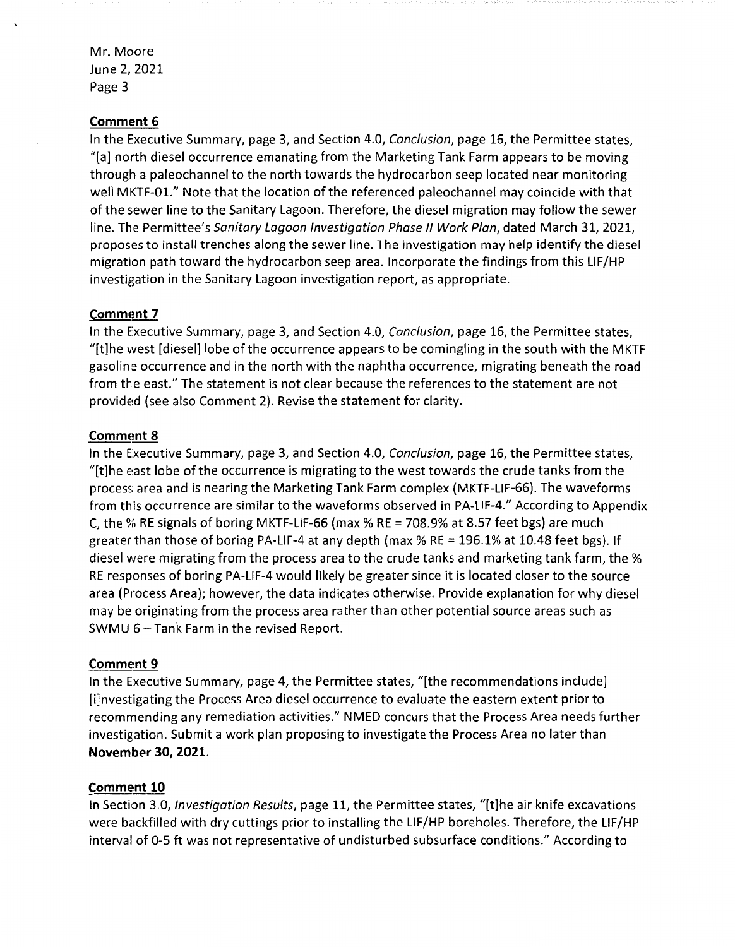#### **Comment 6**

In the Executive Summary, page 3, and Section 4.0, Conclusion, page 16, the Permittee states, "[a] north diesel occurrence emanating from the Marketing Tank Farm appears to be moving through a paleochannel to the north towards the hydrocarbon seep located near monitoring well MKTF-01." Note that the location of the referenced paleochannel may coincide with that of the sewer line to the Sanitary Lagoon. Therefore, the diesel migration may follow the sewer line. The Permittee's Sanitary Lagoon Investigation Phase II Work Plan, dated March 31, 2021, proposes to install trenches along the sewer line. The investigation may help identify the diesel migration path toward the hydrocarbon seep area. Incorporate the findings from this LIF/HP investigation in the Sanitary Lagoon investigation report, as appropriate.

#### **Comment 7**

In the Executive Summary, page 3, and Section 4.0, Conclusion, page 16, the Permittee states, "[t]he west [diesel] lobe of the occurrence appears to be comingling in the south with the MKTF gasoline occurrence and in the north with the naphtha occurrence, migrating beneath the road from the east." The statement is not clear because the references to the statement are not provided (see also Comment 2). Revise the statement for clarity.

#### **Comment 8**

In the Executive Summary, page 3, and Section 4.0, Conclusion, page 16, the Permittee states, "[t]he east lobe of the occurrence is migrating to the west towards the crude tanks from the process area and is nearing the Marketing Tank Farm complex (MKTF-LIF-66). The waveforms from this occurrence are similar to the waveforms observed in PA-LIF-4." According to Appendix C, the % RE signals of boring MKTF-LIF-66 (max % RE = 708.9% at 8.57 feet bgs) are much greater than those of boring PA-LIF-4 at any depth (max  $%$  RE = 196.1% at 10.48 feet bgs). If diesel were migrating from the process area to the crude tanks and marketing tank farm, the% RE responses of boring PA-LIF-4 would likely be greater since it is located closer to the source area (Process Area); however, the data indicates otherwise. Provide explanation for why diesel may be originating from the process area rather than other potential source areas such as SWMU 6-Tank Farm in the revised Report.

#### **Comment 9**

In the Executive Summary, page 4, the Permittee states, "[the recommendations include] [i]nvestigating the Process Area diesel occurrence to evaluate the eastern extent prior to recommending any remediation activities." NMED concurs that the Process Area needs further investigation. Submit a work plan proposing to investigate the Process Area no later than **November 30, 2021.** 

#### **Comment 10**

In Section 3.0, Investigation Results, page 11, the Permittee states, "[t]he air knife excavations were backfilled with dry cuttings prior to installing the LIF/HP boreholes. Therefore, the LIF/HP interval of 0-5 ft was not representative of undisturbed subsurface conditions." According to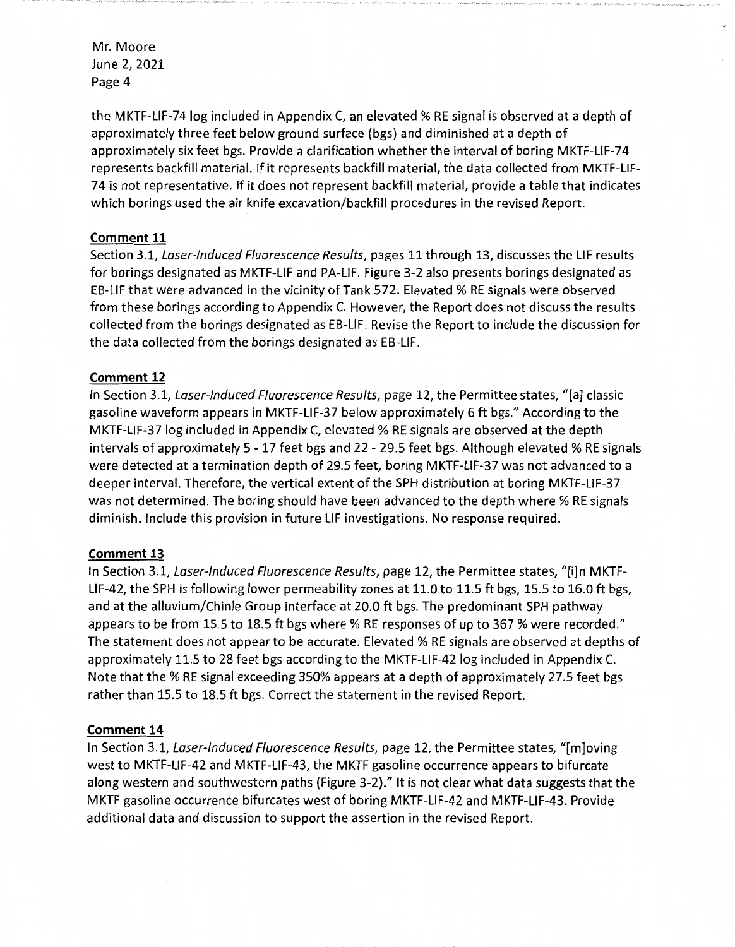the MKTF-LIF-74 log included in Appendix C, an elevated% RE signal is observed at a depth of approximately three feet below ground surface (bgs) and diminished at a depth of approximately six feet bgs. Provide a clarification whether the interval of boring MKTF-LIF-74 represents backfill material. If it represents backfill material, the data collected from MKTF-LIF-74 is not representative. If it does not represent backfill material, provide a table that indicates which borings used the air knife excavation/backfill procedures in the revised Report.

# **Comment 11**

Section 3.1, Laser-Induced Fluorescence Results, pages 11 through 13, discusses the LIF results for borings designated as MKTF-LIF and PA-LIF. Figure 3-2 also presents borings designated as EB-LIF that were advanced in the vicinity of Tank 572. Elevated % RE signals were observed from these borings according to Appendix C. However, the Report does not discuss the results collected from the borings designated as EB-LIF. Revise the Report to include the discussion for the data collected from the borings designated as EB-LIF.

# **Comment 12**

In Section 3.1, Laser-Induced Fluorescence Results, page 12, the Permittee states, "[a] classic gasoline waveform appears in MKTF-LIF-37 below approximately 6 ft bgs." According to the MKTF-LIF-37 log included in Appendix C, elevated% RE signals are observed at the depth intervals of approximately 5 - 17 feet bgs and 22 - 29.5 feet bgs. Although elevated % RE signals were detected at a termination depth of 29.S feet, boring MKTF-LIF-37 was not advanced to a deeper interval. Therefore, the vertical extent of the SPH distribution at boring MKTF-LIF-37 was not determined. The boring should have been advanced to the depth where % RE signals diminish. Include this provision in future LIF investigations. No response required.

## **Comment 13**

In Section 3.1, Laser-Induced Fluorescence Results, page 12, the Permittee states, "[i]n MKTF-LIF-42, the SPH is following lower permeability zones at 11.0 to 11.S ft bgs, 15.5 to 16.0 ft bgs, and at the alluvium/Chinle Group interface at 20.0 ft bgs. The predominant SPH pathway appears to be from 15.5 to 18.5 ft bgs where % RE responses of up to 367 % were recorded." The statement does not appear to be accurate. Elevated% RE signals are observed at depths of approximately 11.5 to 28 feet bgs according to the MKTF-LIF-42 log included in Appendix C. Note that the% RE signal exceeding 350% appears at a depth of approximately 27.5 feet bgs rather than 15.5 to 18.5 ft bgs. Correct the statement in the revised Report.

## **Comment 14**

In Section 3.1, Laser-Induced Fluorescence Results, page 12, the Permittee states, "[m]oving west to MKTF-LIF-42 and MKTF-LIF-43, the MKTF gasoline occurrence appears to bifurcate along western and southwestern paths (Figure 3-2)." It is not clear what data suggests that the MKTF gasoline occurrence bifurcates west of boring MKTF-LIF-42 and MKTF-LIF-43. Provide additional data and discussion to support the assertion in the revised Report.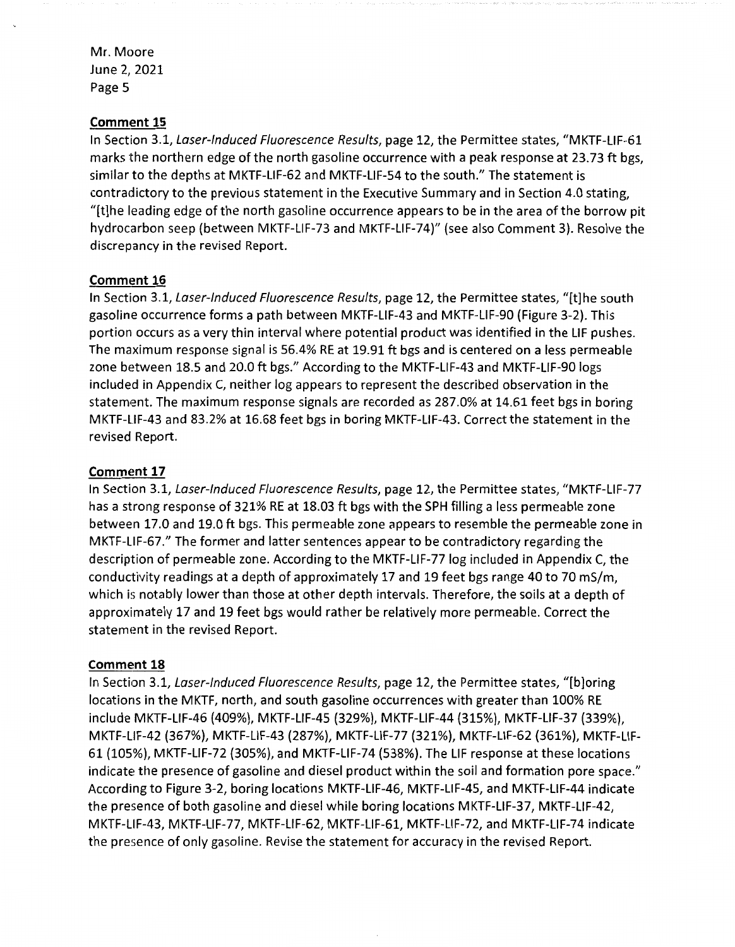## **Comment 15**

In Section 3.1, Laser-Induced Fluorescence Results, page 12, the Permittee states, "MKTF-LIF-61 marks the northern edge of the north gasoline occurrence with a peak response at 23.73 ft bgs, similar to the depths at MKTF-LIF-62 and MKTF-LIF-54 to the south." The statement is contradictory to the previous statement in the Executive Summary and in Section 4.0 stating, "[t]he leading edge of the north gasoline occurrence appears to be in the area of the borrow pit hydrocarbon seep (between MKTF-LIF-73 and MKTF-LIF-74)" (see also Comment 3). Resolve the discrepancy in the revised Report.

## **Comment 16**

In Section 3.1, Laser-Induced Fluorescence Results, page 12, the Permittee states, "[t]he south gasoline occurrence forms a path between MKTF-LIF-43 and MKTF-LIF-90 (Figure 3-2). This portion occurs as a very thin interval where potential product was identified in the LIF pushes. The maximum response signal is 56.4% RE at 19.91 ft bgs and is centered on a less permeable zone between 18.5 and 20.0 ft bgs." According to the MKTF-LIF-43 and MKTF-LIF-90 logs included in Appendix C, neither log appears to represent the described observation in the statement. The maximum response signals are recorded as 287.0% at 14.61 feet bgs in boring MKTF-LIF-43 and 83.2% at 16.68 feet bgs in boring MKTF-LIF-43. Correct the statement in the revised Report.

## **Comment 17**

In Section 3.1, Laser-Induced Fluorescence Results, page 12, the Permittee states, "MKTF-LIF-77 has a strong response of 321% RE at 18.03 ft bgs with the SPH filling a less permeable zone between 17.0 and 19.0 ft bgs. This permeable zone appears to resemble the permeable zone in MKTF-LIF-67." The former and latter sentences appear to be contradictory regarding the description of permeable zone. According to the MKTF-LIF-77 log included in Appendix C, the conductivity readings at a depth of approximately 17 and 19 feet bgs range 40 to 70 mS/m, which is notably lower than those at other depth intervals. Therefore, the soils at a depth of approximately 17 and 19 feet bgs would rather be relatively more permeable. Correct the statement in the revised Report.

#### **Comment 18**

In Section 3.1, Laser-Induced Fluorescence Results, page 12, the Permittee states, "[b]oring locations in the MKTF, north, and south gasoline occurrences with greater than 100% RE include MKTF-LIF-46 (409%}, MKTF-LIF-45 (329%), MKTF-LIF-44 (315%), MKTF-LIF-37 (339%}, MKTF-LIF-42 (367%), MKTF-LIF-43 (287%), MKTF-LIF-77 (321%), MKTF-LIF-62 {361%), MKTF-LIF-61 (105%), MKTF-LIF-72 (305%), and MKTF-LIF-74 (538%). The LIF response at these locations indicate the presence of gasoline and diesel product within the soil and formation pore space." According to Figure 3-2, boring locations MKTF-LIF-46, MKTF-LIF-45, and MKTF-LIF-44 indicate the presence of both gasoline and diesel while boring locations MKTF-LIF-37, MKTF-LIF-42, MKTF-LIF-43, MKTF-LIF-77, MKTF-LIF-62, MKTF-LIF-61, MKTF-LIF-72, and MKTF-LIF-74 indicate the presence of only gasoline. Revise the statement for accuracy in the revised Report.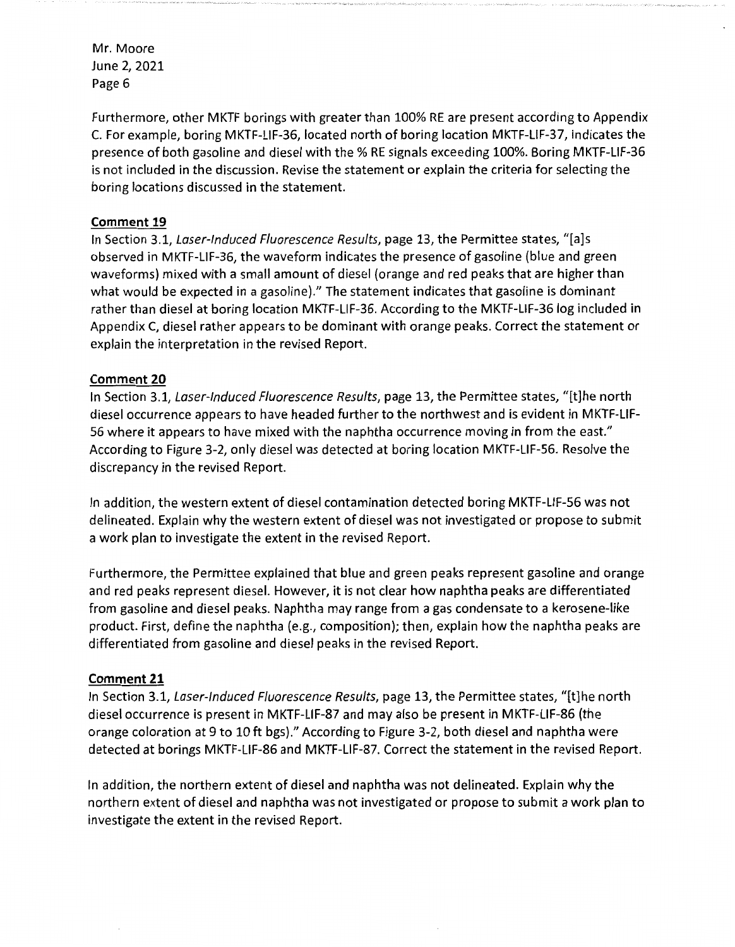Furthermore, other MKTF borings with greater than 100% RE are present according to Appendix C. For example, boring MKTF-LIF-36, located north of boring location MKTF-LIF-37, indicates the presence of both gasoline and diesel with the% RE signals exceeding 100%. Boring MKTF-LIF-36 is not included in the discussion. Revise the statement or explain the criteria for selecting the boring locations discussed in the statement.

# **Comment 19**

In Section 3.1, Laser-Induced Fluorescence Results, page 13, the Permittee states, "[a]s observed in MKTF-LIF-36, the waveform indicates the presence of gasoline (blue and green waveforms) mixed with a small amount of diesel (orange and red peaks that are higher than what would be expected in a gasoline)." The statement indicates that gasoline is dominant rather than diesel at boring location MKTF-LIF-36. According to the MKTF-LIF-36 log included in Appendix C, diesel rather appears to be dominant with orange peaks. Correct the statement or explain the interpretation in the revised Report.

## **Comment 20**

In Section 3.1, Laser-Induced Fluorescence Results, page 13, the Permittee states, "[t]he north diesel occurrence appears to have headed further to the northwest and is evident in MKTF-LIF-56 where it appears to have mixed with the naphtha occurrence moving in from the east." According to Figure 3-2, only diesel was detected at boring location MKTF-LIF-56. Resolve the discrepancy in the revised Report.

In addition, the western extent of diesel contamination detected boring MKTF-LIF-56 was not delineated. Explain why the western extent of diesel was not investigated or propose to submit a work plan to investigate the extent in the revised Report.

Furthermore, the Permittee explained that blue and green peaks represent gasoline and orange and red peaks represent diesel. However, it is not clear how naphtha peaks are differentiated from gasoline and diesel peaks. Naphtha may range from a gas condensate to a kerosene-like product. First, define the naphtha (e.g., composition); then, explain how the naphtha peaks are differentiated from gasoline and diesel peaks in the revised Report.

## **Comment 21**

In Section 3.1, Laser-Induced Fluorescence Results, page 13, the Permittee states, "[t]he north diesel occurrence is present in MKTF-LIF-87 and may also be present in MKTF-LIF-86 (the orange coloration at 9 to 10 ft bgs)." According to Figure 3-2, both diesel and naphtha were detected at borings MKTF-LIF-86 and MKTF-LIF-87. Correct the statement in the revised Report.

In addition, the northern extent of diesel and naphtha was not delineated. Explain why the northern extent of diesel and naphtha was not investigated or propose to submit a work plan to investigate the extent in the revised Report.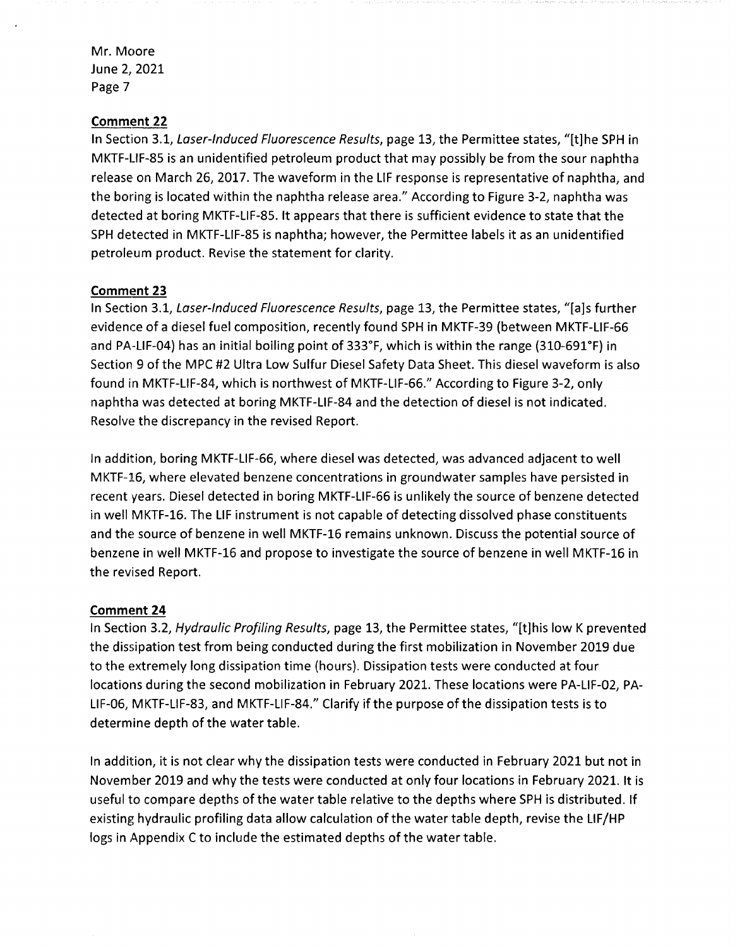## **Comment 22**

In Section 3.1, Laser-Induced Fluorescence Results, page 13, the Permittee states, "[t]he SPH in MKTF-LIF-85 is an unidentified petroleum product that may possibly be from the sour naphtha release on March 26, 2017. The waveform in the LIF response is representative of naphtha, and the boring is located within the naphtha release area." According to Figure 3-2, naphtha was detected at boring MKTF-LIF-85. It appears that there is sufficient evidence to state that the SPH detected in MKTF-LIF-85 is naphtha; however, the Permittee labels it as an unidentified petroleum product. Revise the statement for clarity.

#### **Comment 23**

In Section 3.1, Laser-Induced Fluorescence Results, page 13, the Permittee states, "[a]s further evidence of a diesel fuel composition, recently found SPH in MKTF-39 (between MKTF-LIF-66 and PA-LIF-04) has an initial boiling point of 333°F, which is within the range (310-691°F) in Section 9 of the MPC #2 Ultra Low Sulfur Diesel Safety Data Sheet. This diesel waveform is also found in MKTF-LIF-84, which is northwest of MKTF-LIF-66." According to Figure 3-2, only naphtha was detected at boring MKTF-LIF-84 and the detection of diesel is not indicated. Resolve the discrepancy in the revised Report.

In addition, boring MKTF-LIF-66, where diesel was detected, was advanced adjacent to well MKTF-16, where elevated benzene concentrations in groundwater samples have persisted in recent years. Diesel detected in boring MKTF-LIF-66 is unlikely the source of benzene detected in well MKTF-16. The LIF instrument is not capable of detecting dissolved phase constituents and the source of benzene in well MKTF-16 remains unknown. Discuss the potential source of benzene in well MKTF-16 and propose to investigate the source of benzene in well MKTF-16 in the revised Report.

## **Comment 24**

In Section 3.2, Hydraulic Profiling Results, page 13, the Permittee states, "[t]his low K prevented the dissipation test from being conducted during the first mobilization in November 2019 due to the extremely long dissipation time (hours). Dissipation tests were conducted at four locations during the second mobilization in February 2021. These locations were PA-LIF-02, PA-LIF-06, MKTF-LIF-83, and MKTF-LIF-84." Clarify if the purpose of the dissipation tests is to determine depth of the water table.

In addition, it is not clear why the dissipation tests were conducted in February 2021 but not in November 2019 and why the tests were conducted at only four locations in February 2021. It is useful to compare depths of the water table relative to the depths where SPH is distributed. If existing hydraulic profiling data allow calculation of the water table depth, revise the LIF/HP logs in Appendix C to include the estimated depths of the water table.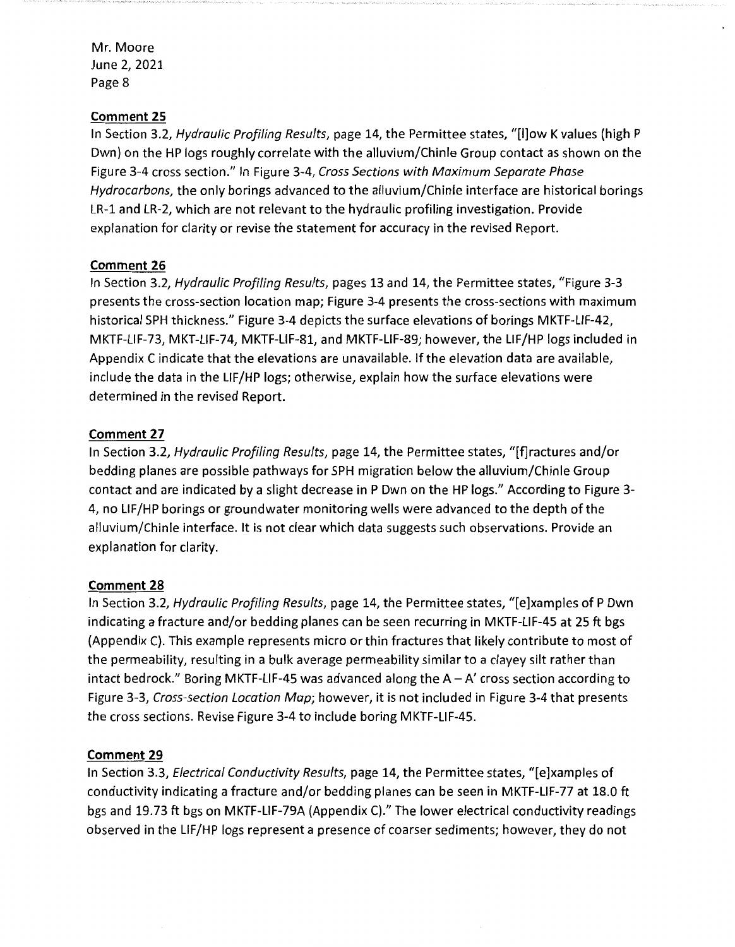## **Comment 25**

In Section 3.2, *Hydraulic Profiling Results,* page 14, the Permittee states, "[l]ow K values (high P Dwn) on the HP logs roughly correlate with the alluvium/Chinle Group contact as shown on the Figure 3-4 cross section." In Figure 3-4, *Cross Sections with Maximum Separate Phase Hydrocarbons,* the only borings advanced to the alluvium/Chinle interface are historical borings LR-1 and LR-2, which are not relevant to the hydraulic profiling investigation. Provide explanation for clarity or revise the statement for accuracy in the revised Report.

## **Comment 26**

In Section 3.2, *Hydraulic Profiling Results,* pages 13 and 14, the Permittee states, "Figure 3-3 presents the cross-section location map; Figure 3-4 presents the cross-sections with maximum historical SPH thickness." Figure 3-4 depicts the surface elevations of borings MKTF-LIF-42, MKTF-LIF-73, MKT-LIF-74, MKTF-LIF-81, and MKTF-LIF-89; however, the LIF/HP logs included in Appendix C indicate that the elevations are unavailable. If the elevation data are available, include the data in the LIF/HP logs; otherwise, explain how the surface elevations were determined in the revised Report.

#### **Comment 27**

In Section 3.2, *Hydraulic Profiling Results,* page 14, the Permittee states, "[f]ractures and/or bedding planes are possible pathways for SPH migration below the alluvium/Chinle Group contact and are indicated by a slight decrease in P Dwn on the HP logs." According to Figure 3- 4, no LIF/HP borings or groundwater monitoring wells were advanced to the depth of the alluvium/Chinle interface. It is not clear which data suggests such observations. Provide an explanation for clarity.

#### **Comment 28**

In Section 3.2, *Hydraulic Profiling Results,* page 14, the Permittee states, "[e]xamples of P Dwn indicating a fracture and/or bedding planes can be seen recurring in MKTF-LIF-45 at 25 ft bgs (Appendix C). This example represents micro or thin fractures that likely contribute to most of the permeability, resulting in a bulk average permeability similar to a clayey silt rather than intact bedrock." Boring MKTF-LIF-45 was advanced along the  $A - A'$  cross section according to Figure 3-3, *Cross-section Location Map;* however, it is not included in Figure 3-4 that presents the cross sections. Revise Figure 3-4 to include boring MKTF-LIF-45.

#### **Comment 29**

In Section 3.3, *Electrical Conductivity Results,* page 14, the Permittee states, "[e]xamples of conductivity indicating a fracture and/or bedding planes can be seen in MKTF-LIF-77 at 18.0 ft bgs and 19.73 ft bgs on MKTF-LIF-79A (Appendix C)." The lower electrical conductivity readings observed in the LIF/HP logs represent a presence of coarser sediments; however, they do not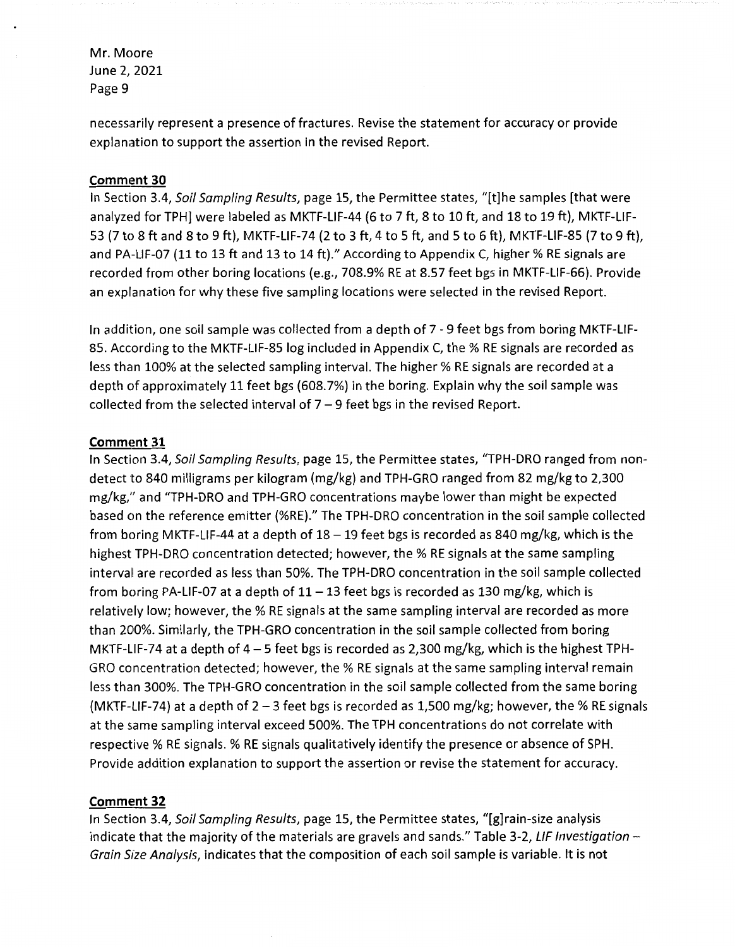necessarily represent a presence of fractures. Revise the statement for accuracy or provide explanation to support the assertion in the revised Report.

#### **Comment 30**

In Section 3.4, Soil Sampling Results, page 15, the Permittee states, "[t]he samples [that were analyzed for TPH] were labeled as MKTF-LIF-44 (6 to 7 ft, 8 to 10 ft, and 18 to 19 ft), MKTF-LIF-53 (7 to 8 ft and 8 to 9 ft), MKTF-LIF-74 (2 to 3 ft, 4 to 5 ft, and 5 to 6 ft), MKTF-LIF-85 (7 to 9 ft), and PA-LIF-07 (11 to 13 ft and 13 to 14 ft)." According to Appendix C, higher % RE signals are recorded from other boring locations (e.g., 708.9% RE at 8.57 feet bgs in MKTF-LIF-66). Provide an explanation for why these five sampling locations were selected in the revised Report.

In addition, one soil sample was collected from a depth of 7 - 9 feet bgs from boring MKTF-LIF-85. According to the MKTF-LIF-85 log included in Appendix C, the % RE signals are recorded as less than 100% at the selected sampling interval. The higher % RE signals are recorded at a depth of approximately 11 feet bgs (608.7%) in the boring. Explain why the soil sample was collected from the selected interval of  $7 - 9$  feet bgs in the revised Report.

#### **Comment 31**

In Section 3.4, Soil Sampling Results, page 15, the Permittee states, "TPH-DRO ranged from nondetect to 840 milligrams per kilogram (mg/kg) and TPH-GRO ranged from 82 mg/kg to 2,300 mg/kg," and "TPH-DRO and TPH-GRO concentrations maybe lower than might be expected based on the reference emitter (%RE)." The TPH-DRO concentration in the soil sample collected from boring MKTF-LIF-44 at a depth of  $18 - 19$  feet bgs is recorded as 840 mg/kg, which is the highest TPH-DRO concentration detected; however, the% RE signals at the same sampling interval are recorded as less than 50%. The TPH-DRO concentration in the soil sample collected from boring PA-LIF-07 at a depth of  $11-13$  feet bgs is recorded as 130 mg/kg, which is relatively low; however, the % RE signals at the same sampling interval are recorded as more than 200%. Similarly, the TPH-GRO concentration in the soil sample collected from boring MKTF-LIF-74 at a depth of  $4-5$  feet bgs is recorded as 2,300 mg/kg, which is the highest TPH-GRO concentration detected; however, the% RE signals at the same sampling interval remain less than 300%. The TPH-GRO concentration in the soil sample collected from the same boring (MKTF-LIF-74) at a depth of  $2 - 3$  feet bgs is recorded as 1,500 mg/kg; however, the % RE signals at the same sampling interval exceed 500%. The TPH concentrations do not correlate with respective % RE signals. % RE signals qualitatively identify the presence or absence of SPH. Provide addition explanation to support the assertion or revise the statement for accuracy.

## **Comment 32**

In Section 3.4, Soil Sampling Results, page 15, the Permittee states, "[g]rain-size analysis indicate that the majority of the materials are gravels and sands." Table 3-2, LIF Investigation -Grain Size Analysis, indicates that the composition of each soil sample is variable. It is not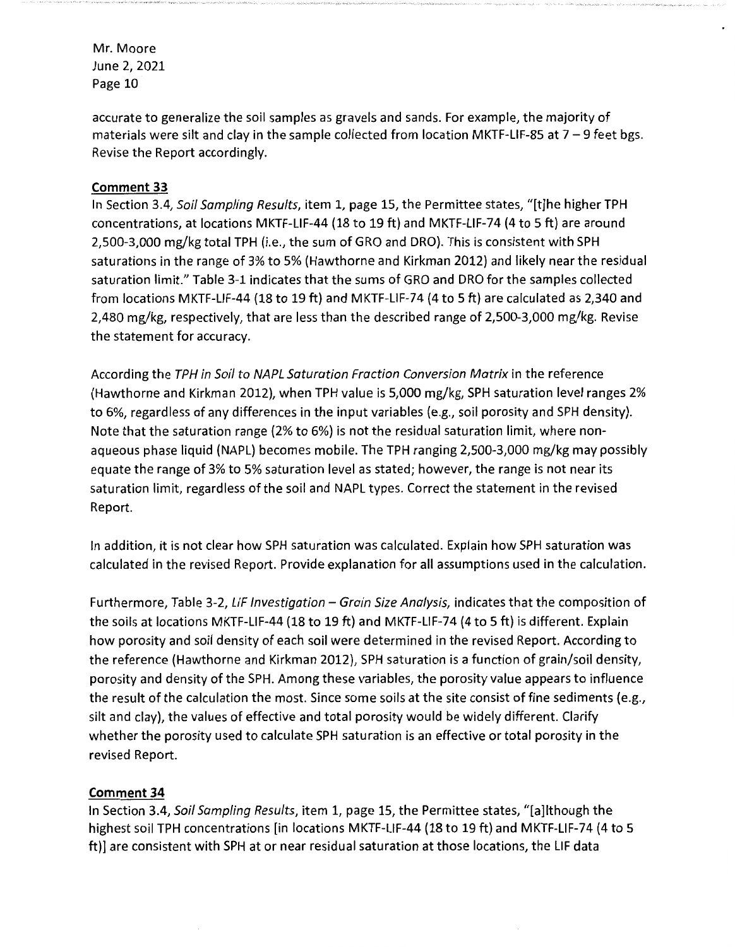accurate to generalize the soil samples as gravels and sands. For example, the majority of materials were silt and clay in the sample collected from location MKTF-LIF-85 at  $7 - 9$  feet bgs. Revise the Report accordingly.

# **Comment 33**

In Section 3.4, Soil Sampling Results, item 1, page 15, the Permittee states, "[t]he higher TPH concentrations, at locations MKTF-LIF-44 (18 to 19 ft) and MKTF-LIF-74 (4 to 5 ft) are around 2,500-3,000 mg/kg total TPH (i.e., the sum of GRO and ORO). This is consistent with SPH saturations in the range of 3% to 5% (Hawthorne and Kirkman 2012) and likely near the residual saturation limit." Table 3-1 indicates that the sums of GRO and DRO for the samples collected from locations MKTF-LIF-44 (18 to 19 ft) and MKTF-LIF-74 (4 to 5 ft) are calculated as 2,340 and 2,480 mg/kg, respectively, that are less than the described range of 2,500-3,000 mg/kg. Revise the statement for accuracy.

According the TPH in Soil to NAPL Saturation Fraction Conversion Matrix in the reference (Hawthorne and Kirkman 2012), when TPH value is 5,000 mg/kg, SPH saturation level ranges 2% to 6%, regardless of any differences in the input variables (e.g., soil porosity and SPH density). Note that the saturation range (2% to 6%) is not the residual saturation limit, where nonaqueous phase liquid (NAPL) becomes mobile. The TPH ranging 2,500-3,000 mg/kg may possibly equate the range of 3% to 5% saturation level as stated; however, the range is not near its saturation limit, regardless of the soil and NAPL types. Correct the statement in the revised Report.

In addition, it is not clear how SPH saturation was calculated. Explain how SPH saturation was calculated in the revised Report. Provide explanation for all assumptions used in the calculation.

Furthermore, Table 3-2, LIF Investigation - Grain Size Analysis, indicates that the composition of the soils at locations MKTF-LIF-44 (18 to 19 ft) and MKTF-LIF-74 (4 to 5 ft) is different. Explain how porosity and soil density of each soil were determined in the revised Report. According to the reference (Hawthorne and Kirkman 2012), SPH saturation is a function of grain/soil density, porosity and density of the SPH. Among these variables, the porosity value appears to influence the result of the calculation the most. Since some soils at the site consist of fine sediments (e.g., silt and clay), the values of effective and total porosity would be widely different. Clarify whether the porosity used to calculate SPH saturation is an effective or total porosity in the revised Report.

# **Comment 34**

In Section 3.4, Soil Sampling Results, item 1, page 15, the Permittee states, "[a]lthough the highest soil TPH concentrations [in locations MKTF-LIF-44 (18 to 19 ft) and MKTF-LIF-74 (4 to 5 ft)] are consistent with SPH at or near residual saturation at those locations, the LIF data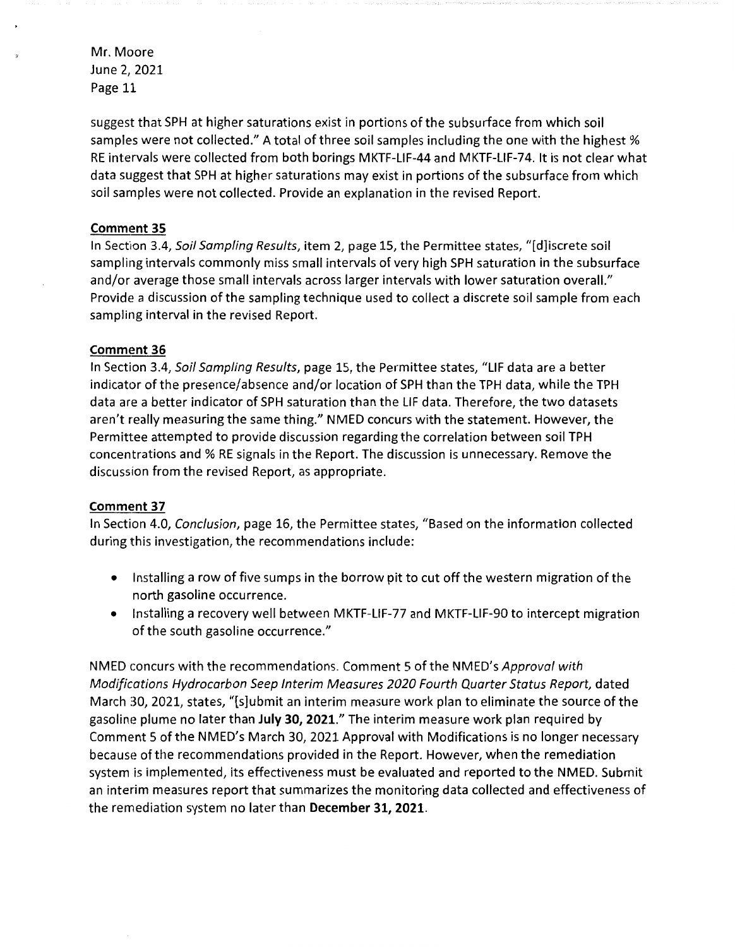suggest that SPH at higher saturations exist in portions of the subsurface from which soil samples were not collected." A total of three soil samples including the one with the highest % RE intervals were collected from both borings MKTF-LIF-44 and MKTF-LIF-74. It is not clear what data suggest that SPH at higher saturations may exist in portions of the subsurface from which soil samples were not collected. Provide an explanation in the revised Report.

#### **Comment 35**

In Section 3.4, Soil Sampling Results, item 2, page 15, the Permittee states, "[d]iscrete soil sampling intervals commonly miss small intervals of very high SPH saturation in the subsurface and/or average those small intervals across larger intervals with lower saturation overall." Provide a discussion of the sampling technique used to collect a discrete soil sample from each sampling interval in the revised Report.

#### **Comment 36**

In Section 3.4, Soil Sampling Results, page 15, the Permittee states, "LIF data are a better indicator of the presence/absence and/or location of SPH than the TPH data, while the TPH data are a better indicator of SPH saturation than the LIF data. Therefore, the two datasets aren't really measuring the same thing." NMED concurs with the statement. However, the Permittee attempted to provide discussion regarding the correlation between soil TPH concentrations and % RE signals in the Report. The discussion is unnecessary. Remove the discussion from the revised Report, as appropriate.

#### **Comment 37**

In Section 4.0, Conclusion, page 16, the Permittee states, "Based on the information collected during this investigation, the recommendations include:

- Installing a row of five sumps in the borrow pit to cut off the western migration of the north gasoline occurrence.
- Installing a recovery well between MKTF-LIF-77 and MKTF-LIF-90 to intercept migration of the south gasoline occurrence."

NMED concurs with the recommendations. Comment 5 of the NMED's Approval with Modifications Hydrocarbon Seep Interim Measures 2020 Fourth Quarter Status Report, dated March 30, 2021, states, "[s]ubmit an interim measure work plan to eliminate the source of the gasoline plume no later than **July 30, 2021."** The interim measure work plan required by Comment 5 of the NMED's March 30, 2021 Approval with Modifications is no longer necessary because of the recommendations provided in the Report. However, when the remediation system is implemented, its effectiveness must be evaluated and reported to the NMED. Submit an interim measures report that summarizes the monitoring data collected and effectiveness of the remediation system no later than **December 31, 2021.**